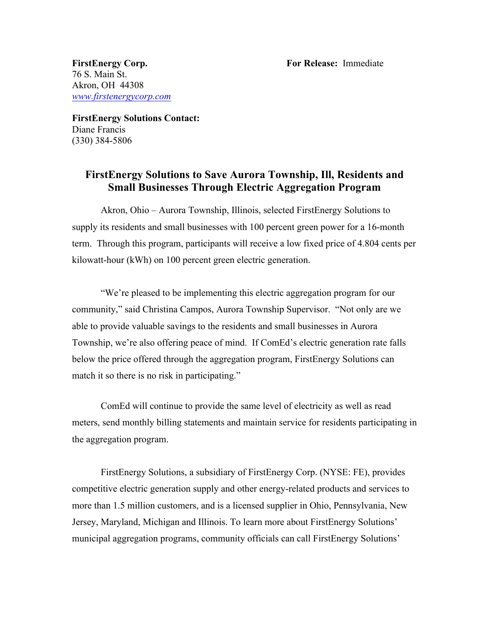76 S. Main St. Akron, OH 44308 *www.firstenergycorp.com*

**FirstEnergy Solutions Contact:** Diane Francis (330) 384-5806

## **FirstEnergy Solutions to Save Aurora Township, Ill, Residents and Small Businesses Through Electric Aggregation Program**

Akron, Ohio – Aurora Township, Illinois, selected FirstEnergy Solutions to supply its residents and small businesses with 100 percent green power for a 16-month term. Through this program, participants will receive a low fixed price of 4.804 cents per kilowatt-hour (kWh) on 100 percent green electric generation.

"We're pleased to be implementing this electric aggregation program for our community," said Christina Campos, Aurora Township Supervisor. "Not only are we able to provide valuable savings to the residents and small businesses in Aurora Township, we're also offering peace of mind. If ComEd's electric generation rate falls below the price offered through the aggregation program, FirstEnergy Solutions can match it so there is no risk in participating."

ComEd will continue to provide the same level of electricity as well as read meters, send monthly billing statements and maintain service for residents participating in the aggregation program.

FirstEnergy Solutions, a subsidiary of FirstEnergy Corp. (NYSE: FE), provides competitive electric generation supply and other energy-related products and services to more than 1.5 million customers, and is a licensed supplier in Ohio, Pennsylvania, New Jersey, Maryland, Michigan and Illinois. To learn more about FirstEnergy Solutions' municipal aggregation programs, community officials can call FirstEnergy Solutions'